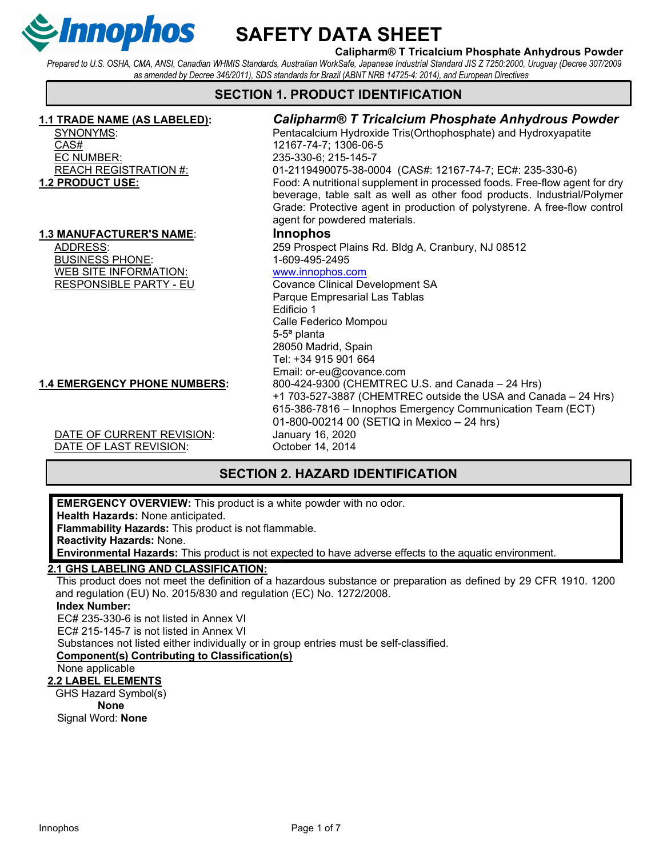

### Calipharm® T Tricalcium Phosphate Anhydrous Powder

Prepared to U.S. OSHA, CMA, ANSI, Canadian WHMIS Standards, Australian WorkSafe, Japanese Industrial Standard JIS Z 7250:2000, Uruguay (Decree 307/2009 as amended by Decree 346/2011), SDS standards for Brazil (ABNT NRB 14725-4: 2014), and European Directives

# SECTION 1. PRODUCT IDENTIFICATION

CAS# 12167-74-7; 1306-06-5 EC NUMBER: 235-330-6; 215-145-7

#### 1.3 MANUFACTURER'S NAME: Innophos

BUSINESS PHONE: 1-609-495-2495 WEB SITE INFORMATION: www.innophos.com<br>RESPONSIBLE PARTY - EU Covance Clinical De

# 1.1 TRADE NAME (AS LABELED): Calipharm® T Tricalcium Phosphate Anhydrous Powder

SYNONYMS: Pentacalcium Hydroxide Tris(Orthophosphate) and Hydroxyapatite REACH REGISTRATION #: 01-2119490075-38-0004 (CAS#: 12167-74-7; EC#: 235-330-6) **1.2 PRODUCT USE:** Food: A nutritional supplement in processed foods. Free-flow agent for dry beverage, table salt as well as other food products. Industrial/Polymer Grade: Protective agent in production of polystyrene. A free-flow control agent for powdered materials. ADDRESS: 259 Prospect Plains Rd. Bldg A, Cranbury, NJ 08512 **Covance Clinical Development SA** Parque Empresarial Las Tablas Edificio 1 Calle Federico Mompou 5-5ª planta 28050 Madrid, Spain Tel: +34 915 901 664 Email: or-eu@covance.com

> +1 703-527-3887 (CHEMTREC outside the USA and Canada – 24 Hrs) 615-386-7816 – Innophos Emergency Communication Team (ECT)

# 1.4 EMERGENCY PHONE NUMBERS: 800-424-9300 (CHEMTREC U.S. and Canada – 24 Hrs)

DATE OF CURRENT REVISION: January 16, 2020 DATE OF LAST REVISION: October 14, 2014

# SECTION 2. HAZARD IDENTIFICATION

01-800-00214 00 (SETIQ in Mexico – 24 hrs)

EMERGENCY OVERVIEW: This product is a white powder with no odor. Health Hazards: None anticipated. Flammability Hazards: This product is not flammable. Reactivity Hazards: None. Environmental Hazards: This product is not expected to have adverse effects to the aquatic environment. 2.1 GHS LABELING AND CLASSIFICATION: This product does not meet the definition of a hazardous substance or preparation as defined by 29 CFR 1910. 1200 and regulation (EU) No. 2015/830 and regulation (EC) No. 1272/2008.

#### Index Number:

EC# 235-330-6 is not listed in Annex VI

EC# 215-145-7 is not listed in Annex VI

Substances not listed either individually or in group entries must be self-classified.

#### Component(s) Contributing to Classification(s)

None applicable

#### 2.2 LABEL ELEMENTS

GHS Hazard Symbol(s) None Signal Word: None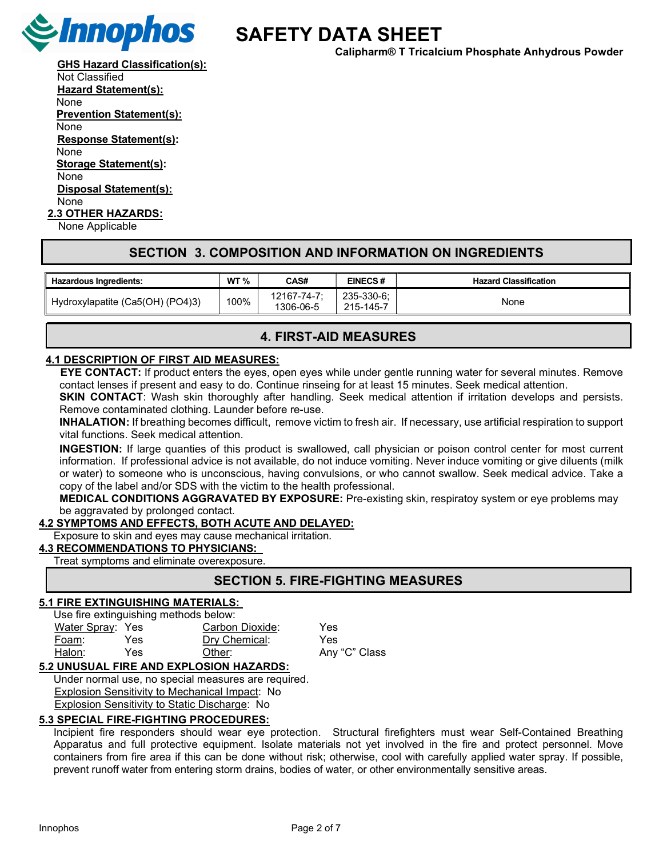

Calipharm® T Tricalcium Phosphate Anhydrous Powder

**GHS Hazard Classification(s):** 

Not Classified Hazard Statement(s): None Prevention Statement(s): None Response Statement(s): None Storage Statement(s): None Disposal Statement(s): None 2.3 OTHER HAZARDS:

None Applicable

### SECTION 3. COMPOSITION AND INFORMATION ON INGREDIENTS

| <b>Hazardous Ingredients:</b>    | WT % | CAS#                     | <b>EINECS#</b>          | <b>Hazard Classification</b> |
|----------------------------------|------|--------------------------|-------------------------|------------------------------|
| Hydroxylapatite (Ca5(OH) (PO4)3) | 100% | 12167-74-7:<br>1306-06-5 | 235-330-6:<br>215-145-7 | None                         |

### 4. FIRST-AID MEASURES

#### 4.1 DESCRIPTION OF FIRST AID MEASURES:

EYE CONTACT: If product enters the eyes, open eyes while under gentle running water for several minutes. Remove contact lenses if present and easy to do. Continue rinseing for at least 15 minutes. Seek medical attention.

**SKIN CONTACT:** Wash skin thoroughly after handling. Seek medical attention if irritation develops and persists. Remove contaminated clothing. Launder before re-use.

INHALATION: If breathing becomes difficult, remove victim to fresh air. If necessary, use artificial respiration to support vital functions. Seek medical attention.

INGESTION: If large quanties of this product is swallowed, call physician or poison control center for most current information. If professional advice is not available, do not induce vomiting. Never induce vomiting or give diluents (milk or water) to someone who is unconscious, having convulsions, or who cannot swallow. Seek medical advice. Take a copy of the label and/or SDS with the victim to the health professional.

MEDICAL CONDITIONS AGGRAVATED BY EXPOSURE: Pre-existing skin, respiratoy system or eye problems may be aggravated by prolonged contact.

#### 4.2 SYMPTOMS AND EFFECTS, BOTH ACUTE AND DELAYED:

Exposure to skin and eyes may cause mechanical irritation.

#### 4.3 RECOMMENDATIONS TO PHYSICIANS:

Treat symptoms and eliminate overexposure.

### SECTION 5. FIRE-FIGHTING MEASURES

#### 5.1 FIRE EXTINGUISHING MATERIALS:

Use fire extinguishing methods below:

| Water Spray: Yes |      | Carbon Dioxide: | Yes           |
|------------------|------|-----------------|---------------|
| Foam:            | Yes  | Dry Chemical:   | Yes           |
| Halon:           | Yes. | Other:          | Any "C" Class |

#### 5.2 UNUSUAL FIRE AND EXPLOSION HAZARDS:

Under normal use, no special measures are required. Explosion Sensitivity to Mechanical Impact: No Explosion Sensitivity to Static Discharge: No

#### 5.3 SPECIAL FIRE-FIGHTING PROCEDURES:

Incipient fire responders should wear eye protection. Structural firefighters must wear Self-Contained Breathing Apparatus and full protective equipment. Isolate materials not yet involved in the fire and protect personnel. Move containers from fire area if this can be done without risk; otherwise, cool with carefully applied water spray. If possible, prevent runoff water from entering storm drains, bodies of water, or other environmentally sensitive areas.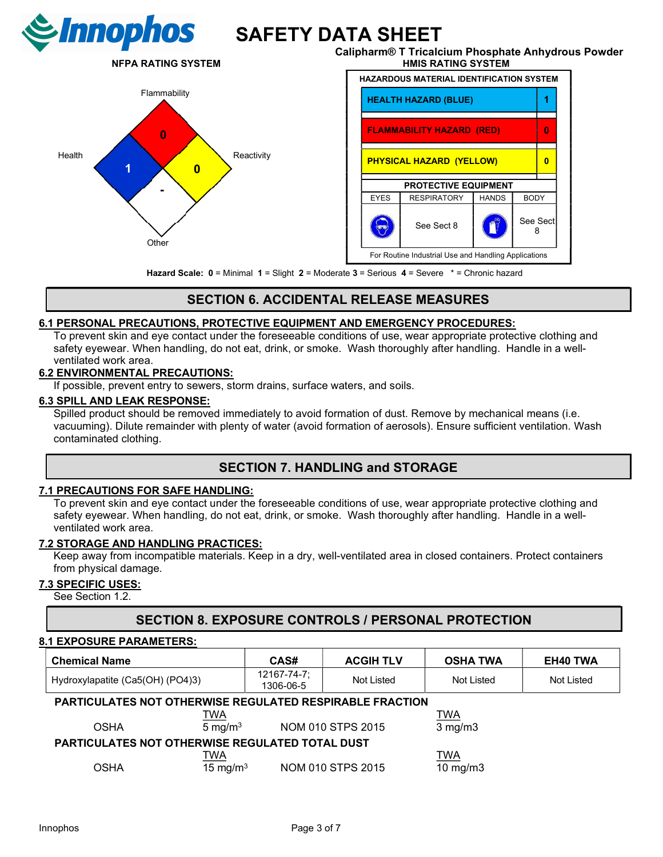



Calipharm® T Tricalcium Phosphate Anhydrous Powder NFPA RATING SYSTEM THE RESERVE THAT HAS RATING SYSTEM



Hazard Scale: 0 = Minimal 1 = Slight 2 = Moderate 3 = Serious 4 = Severe \* = Chronic hazard

# SECTION 6. ACCIDENTAL RELEASE MEASURES

#### 6.1 PERSONAL PRECAUTIONS, PROTECTIVE EQUIPMENT AND EMERGENCY PROCEDURES:

To prevent skin and eye contact under the foreseeable conditions of use, wear appropriate protective clothing and safety eyewear. When handling, do not eat, drink, or smoke. Wash thoroughly after handling. Handle in a wellventilated work area.

#### 6.2 ENVIRONMENTAL PRECAUTIONS:

If possible, prevent entry to sewers, storm drains, surface waters, and soils.

#### 6.3 SPILL AND LEAK RESPONSE:

Spilled product should be removed immediately to avoid formation of dust. Remove by mechanical means (i.e. vacuuming). Dilute remainder with plenty of water (avoid formation of aerosols). Ensure sufficient ventilation. Wash contaminated clothing.

# SECTION 7. HANDLING and STORAGE

#### 7.1 PRECAUTIONS FOR SAFE HANDLING:

To prevent skin and eye contact under the foreseeable conditions of use, wear appropriate protective clothing and safety eyewear. When handling, do not eat, drink, or smoke. Wash thoroughly after handling. Handle in a wellventilated work area.

#### 7.2 STORAGE AND HANDLING PRACTICES:

Keep away from incompatible materials. Keep in a dry, well-ventilated area in closed containers. Protect containers from physical damage.

#### 7.3 SPECIFIC USES:

See Section 1.2.

# SECTION 8. EXPOSURE CONTROLS / PERSONAL PROTECTION

#### 8.1 EXPOSURE PARAMETERS:

| <b>Chemical Name</b>                                            |                    | CAS#                     | <b>ACGIH TLV</b>  | <b>OSHA TWA</b>   | <b>EH40 TWA</b> |
|-----------------------------------------------------------------|--------------------|--------------------------|-------------------|-------------------|-----------------|
| Hydroxylapatite (Ca5(OH) (PO4)3)                                |                    | 12167-74-7;<br>1306-06-5 | Not Listed        | Not Listed        | Not Listed      |
| <b>PARTICULATES NOT OTHERWISE REGULATED RESPIRABLE FRACTION</b> |                    |                          |                   |                   |                 |
|                                                                 | <b>TWA</b>         |                          |                   | <b>TWA</b>        |                 |
| <b>OSHA</b>                                                     | $5 \text{ mg/m}^3$ |                          | NOM 010 STPS 2015 | $3$ mg/m $3$      |                 |
| PARTICULATES NOT OTHERWISE REGULATED TOTAL DUST                 |                    |                          |                   |                   |                 |
|                                                                 | <u>TWA</u>         |                          |                   | <b>TWA</b>        |                 |
| OSHA                                                            | 15 mg/m $3$        |                          | NOM 010 STPS 2015 | $10 \text{ mg/m}$ |                 |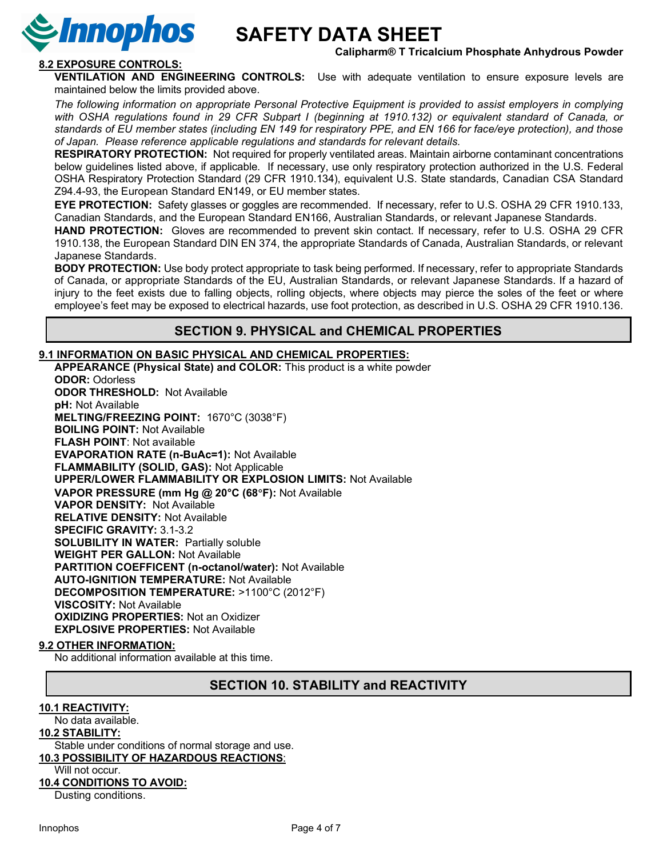

#### Calipharm® T Tricalcium Phosphate Anhydrous Powder

### 8.2 EXPOSURE CONTROLS:

VENTILATION AND ENGINEERING CONTROLS: Use with adequate ventilation to ensure exposure levels are maintained below the limits provided above.

The following information on appropriate Personal Protective Equipment is provided to assist employers in complying with OSHA regulations found in 29 CFR Subpart I (beginning at 1910.132) or equivalent standard of Canada, or standards of EU member states (including EN 149 for respiratory PPE, and EN 166 for face/eye protection), and those of Japan. Please reference applicable regulations and standards for relevant details.

RESPIRATORY PROTECTION: Not required for properly ventilated areas. Maintain airborne contaminant concentrations below guidelines listed above, if applicable. If necessary, use only respiratory protection authorized in the U.S. Federal OSHA Respiratory Protection Standard (29 CFR 1910.134), equivalent U.S. State standards, Canadian CSA Standard Z94.4-93, the European Standard EN149, or EU member states.

EYE PROTECTION: Safety glasses or goggles are recommended. If necessary, refer to U.S. OSHA 29 CFR 1910.133, Canadian Standards, and the European Standard EN166, Australian Standards, or relevant Japanese Standards.

HAND PROTECTION: Gloves are recommended to prevent skin contact. If necessary, refer to U.S. OSHA 29 CFR 1910.138, the European Standard DIN EN 374, the appropriate Standards of Canada, Australian Standards, or relevant Japanese Standards.

BODY PROTECTION: Use body protect appropriate to task being performed. If necessary, refer to appropriate Standards of Canada, or appropriate Standards of the EU, Australian Standards, or relevant Japanese Standards. If a hazard of injury to the feet exists due to falling objects, rolling objects, where objects may pierce the soles of the feet or where employee's feet may be exposed to electrical hazards, use foot protection, as described in U.S. OSHA 29 CFR 1910.136.

### SECTION 9. PHYSICAL and CHEMICAL PROPERTIES

#### 9.1 INFORMATION ON BASIC PHYSICAL AND CHEMICAL PROPERTIES:

 APPEARANCE (Physical State) and COLOR: This product is a white powder ODOR: Odorless ODOR THRESHOLD: Not Available pH: Not Available MELTING/FREEZING POINT: 1670°C (3038°F) BOILING POINT: Not Available FLASH POINT: Not available EVAPORATION RATE (n-BuAc=1): Not Available FLAMMABILITY (SOLID, GAS): Not Applicable UPPER/LOWER FLAMMABILITY OR EXPLOSION LIMITS: Not Available VAPOR PRESSURE (mm Hg @ 20°C (68°F): Not Available VAPOR DENSITY: Not Available RELATIVE DENSITY: Not Available SPECIFIC GRAVITY: 3.1-3.2 SOLUBILITY IN WATER: Partially soluble WEIGHT PER GALLON: Not Available PARTITION COEFFICENT (n-octanol/water): Not Available AUTO-IGNITION TEMPERATURE: Not Available DECOMPOSITION TEMPERATURE: >1100°C (2012°F) VISCOSITY: Not Available OXIDIZING PROPERTIES: Not an Oxidizer EXPLOSIVE PROPERTIES: Not Available

#### 9.2 OTHER INFORMATION:

No additional information available at this time.

### SECTION 10. STABILITY and REACTIVITY

#### 10.1 REACTIVITY:

No data available.

#### 10.2 STABILITY:

Stable under conditions of normal storage and use.

#### 10.3 POSSIBILITY OF HAZARDOUS REACTIONS:

#### Will not occur.

#### 10.4 CONDITIONS TO AVOID:

Dusting conditions.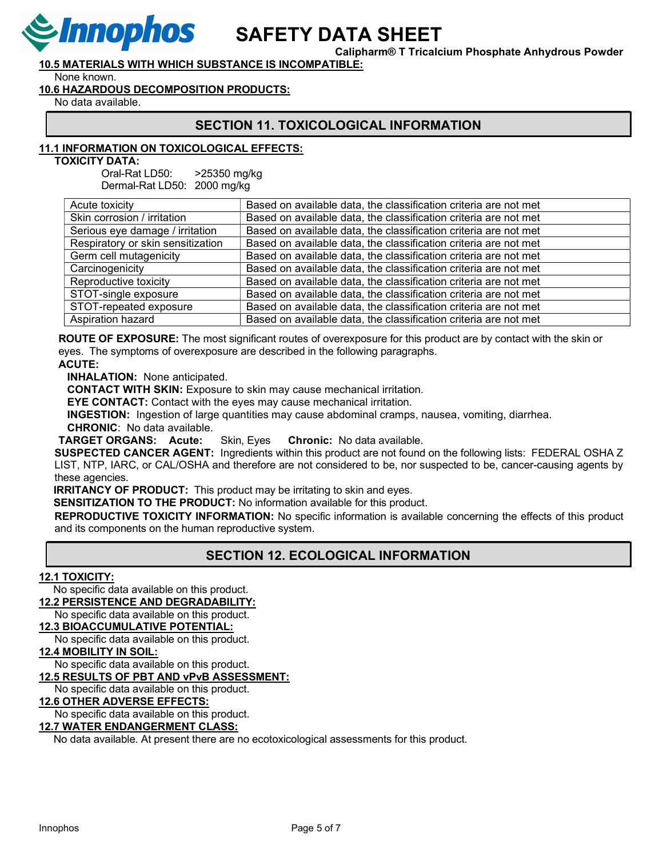

Calipharm® T Tricalcium Phosphate Anhydrous Powder

10.5 MATERIALS WITH WHICH SUBSTANCE IS INCOMPATIBLE:

None known.

#### 10.6 HAZARDOUS DECOMPOSITION PRODUCTS:

No data available.

# SECTION 11. TOXICOLOGICAL INFORMATION

### 11.1 INFORMATION ON TOXICOLOGICAL EFFECTS:

TOXICITY DATA:

 Oral-Rat LD50: >25350 mg/kg Dermal-Rat LD50: 2000 mg/kg

| Acute toxicity                    | Based on available data, the classification criteria are not met |
|-----------------------------------|------------------------------------------------------------------|
| Skin corrosion / irritation       | Based on available data, the classification criteria are not met |
| Serious eye damage / irritation   | Based on available data, the classification criteria are not met |
| Respiratory or skin sensitization | Based on available data, the classification criteria are not met |
| Germ cell mutagenicity            | Based on available data, the classification criteria are not met |
| Carcinogenicity                   | Based on available data, the classification criteria are not met |
| Reproductive toxicity             | Based on available data, the classification criteria are not met |
| STOT-single exposure              | Based on available data, the classification criteria are not met |
| STOT-repeated exposure            | Based on available data, the classification criteria are not met |
| Aspiration hazard                 | Based on available data, the classification criteria are not met |

ROUTE OF EXPOSURE: The most significant routes of overexposure for this product are by contact with the skin or eyes. The symptoms of overexposure are described in the following paragraphs.

#### ACUTE:

INHALATION: None anticipated.

CONTACT WITH SKIN: Exposure to skin may cause mechanical irritation.

EYE CONTACT: Contact with the eyes may cause mechanical irritation.

INGESTION: Ingestion of large quantities may cause abdominal cramps, nausea, vomiting, diarrhea.

CHRONIC: No data available.

TARGET ORGANS: Acute: Skin, Eyes Chronic: No data available.

SUSPECTED CANCER AGENT: Ingredients within this product are not found on the following lists: FEDERAL OSHA Z LIST, NTP, IARC, or CAL/OSHA and therefore are not considered to be, nor suspected to be, cancer-causing agents by these agencies.

**IRRITANCY OF PRODUCT:** This product may be irritating to skin and eyes.

SENSITIZATION TO THE PRODUCT: No information available for this product.

REPRODUCTIVE TOXICITY INFORMATION: No specific information is available concerning the effects of this product and its components on the human reproductive system.

# SECTION 12. ECOLOGICAL INFORMATION

#### 12.1 TOXICITY:

No specific data available on this product.

12.2 PERSISTENCE AND DEGRADABILITY:

 No specific data available on this product. 12.3 BIOACCUMULATIVE POTENTIAL:

# No specific data available on this product.

12.4 MOBILITY IN SOIL:

No specific data available on this product.

#### 12.5 RESULTS OF PBT AND vPvB ASSESSMENT:

No specific data available on this product.

#### 12.6 OTHER ADVERSE EFFECTS:

No specific data available on this product.

#### 12.7 WATER ENDANGERMENT CLASS:

No data available. At present there are no ecotoxicological assessments for this product.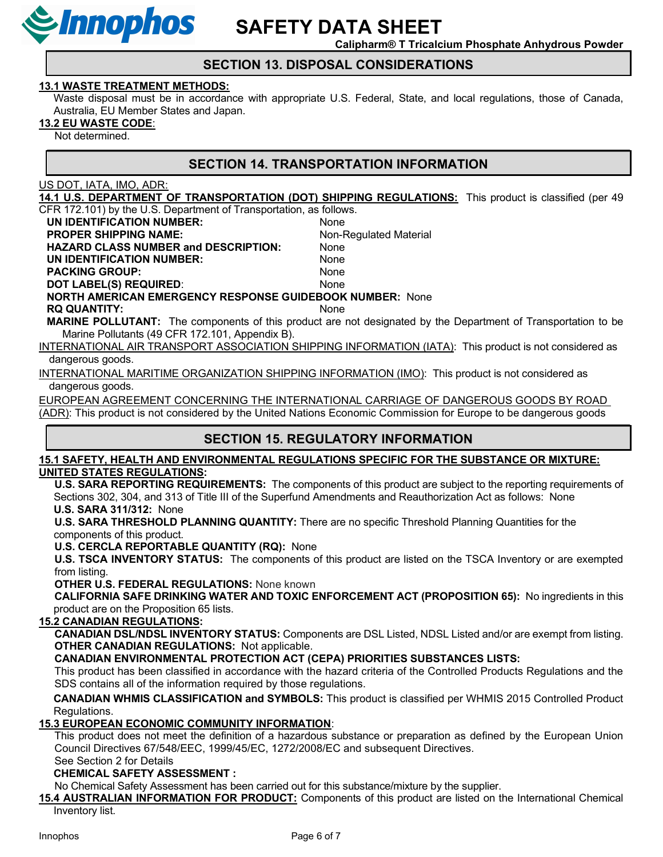

Calipharm® T Tricalcium Phosphate Anhydrous Powder

### SECTION 13. DISPOSAL CONSIDERATIONS

#### 13.1 WASTE TREATMENT METHODS:

Waste disposal must be in accordance with appropriate U.S. Federal, State, and local regulations, those of Canada, Australia, EU Member States and Japan.

#### 13.2 EU WASTE CODE:

Not determined.

## SECTION 14. TRANSPORTATION INFORMATION

US DOT, IATA, IMO, ADR:

14.1 U.S. DEPARTMENT OF TRANSPORTATION (DOT) SHIPPING REGULATIONS: This product is classified (per 49

CFR 172.101) by the U.S. Department of Transportation, as follows.

UN IDENTIFICATION NUMBER: None PROPER SHIPPING NAME: Non-Regulated Material

HAZARD CLASS NUMBER and DESCRIPTION: None

UN IDENTIFICATION NUMBER: None

PACKING GROUP: None

DOT LABEL(S) REQUIRED: None

NORTH AMERICAN EMERGENCY RESPONSE GUIDEBOOK NUMBER: None

RQ QUANTITY: None

MARINE POLLUTANT: The components of this product are not designated by the Department of Transportation to be Marine Pollutants (49 CFR 172.101, Appendix B).

INTERNATIONAL AIR TRANSPORT ASSOCIATION SHIPPING INFORMATION (IATA): This product is not considered as dangerous goods.

INTERNATIONAL MARITIME ORGANIZATION SHIPPING INFORMATION (IMO): This product is not considered as dangerous goods.

EUROPEAN AGREEMENT CONCERNING THE INTERNATIONAL CARRIAGE OF DANGEROUS GOODS BY ROAD (ADR): This product is not considered by the United Nations Economic Commission for Europe to be dangerous goods

# SECTION 15. REGULATORY INFORMATION

15.1 SAFETY, HEALTH AND ENVIRONMENTAL REGULATIONS SPECIFIC FOR THE SUBSTANCE OR MIXTURE: UNITED STATES REGULATIONS:

 U.S. SARA REPORTING REQUIREMENTS: The components of this product are subject to the reporting requirements of Sections 302, 304, and 313 of Title III of the Superfund Amendments and Reauthorization Act as follows: None U.S. SARA 311/312: None

 U.S. SARA THRESHOLD PLANNING QUANTITY: There are no specific Threshold Planning Quantities for the components of this product.

U.S. CERCLA REPORTABLE QUANTITY (RQ): None

U.S. TSCA INVENTORY STATUS: The components of this product are listed on the TSCA Inventory or are exempted from listing.

OTHER U.S. FEDERAL REGULATIONS: None known

 CALIFORNIA SAFE DRINKING WATER AND TOXIC ENFORCEMENT ACT (PROPOSITION 65): No ingredients in this product are on the Proposition 65 lists.

### 15.2 CANADIAN REGULATIONS:

CANADIAN DSL/NDSL INVENTORY STATUS: Components are DSL Listed, NDSL Listed and/or are exempt from listing. OTHER CANADIAN REGULATIONS: Not applicable.

CANADIAN ENVIRONMENTAL PROTECTION ACT (CEPA) PRIORITIES SUBSTANCES LISTS:

This product has been classified in accordance with the hazard criteria of the Controlled Products Regulations and the SDS contains all of the information required by those regulations.

CANADIAN WHMIS CLASSIFICATION and SYMBOLS: This product is classified per WHMIS 2015 Controlled Product Regulations.

### 15.3 EUROPEAN ECONOMIC COMMUNITY INFORMATION:

This product does not meet the definition of a hazardous substance or preparation as defined by the European Union Council Directives 67/548/EEC, 1999/45/EC, 1272/2008/EC and subsequent Directives.

See Section 2 for Details

### CHEMICAL SAFETY ASSESSMENT :

No Chemical Safety Assessment has been carried out for this substance/mixture by the supplier.

15.4 AUSTRALIAN INFORMATION FOR PRODUCT: Components of this product are listed on the International Chemical Inventory list.